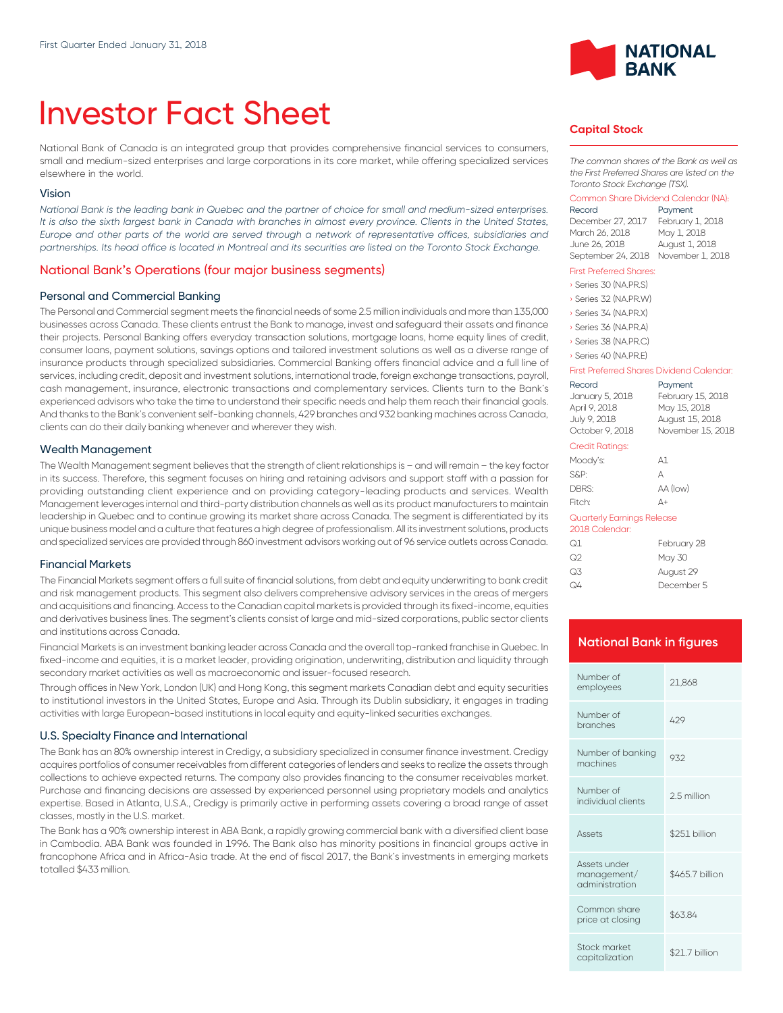# Investor Fact Sheet

National Bank of Canada is an integrated group that provides comprehensive financial services to consumers, small and medium-sized enterprises and large corporations in its core market, while offering specialized services elsewhere in the world.

#### Vision

*National Bank is the leading bank in Quebec and the partner of choice for small and medium-sized enterprises.*  It is also the sixth largest bank in Canada with branches in almost every province. Clients in the United States, *Europe and other parts of the world are served through a network of representative offices, subsidiaries and partnerships. Its head office is located in Montreal and its securities are listed on the Toronto Stock Exchange.*

#### National Bank's Operations (four major business segments)

#### Personal and Commercial Banking

The Personal and Commercial segment meets the financial needs of some 2.5 million individuals and more than 135,000 businesses across Canada. These clients entrust the Bank to manage, invest and safeguard their assets and finance their projects. Personal Banking offers everyday transaction solutions, mortgage loans, home equity lines of credit, consumer loans, payment solutions, savings options and tailored investment solutions as well as a diverse range of insurance products through specialized subsidiaries. Commercial Banking offers financial advice and a full line of services, including credit, deposit and investment solutions, international trade, foreign exchange transactions, payroll, cash management, insurance, electronic transactions and complementary services. Clients turn to the Bank's experienced advisors who take the time to understand their specific needs and help them reach their financial goals. And thanks to the Bank's convenient self-banking channels, 429 branches and 932 banking machines across Canada, clients can do their daily banking whenever and wherever they wish.

#### Wealth Management

The Wealth Management segment believes that the strength of client relationships is – and will remain – the key factor in its success. Therefore, this segment focuses on hiring and retaining advisors and support staff with a passion for providing outstanding client experience and on providing category-leading products and services. Wealth Management leverages internal and third-party distribution channels as well as its product manufacturers to maintain leadership in Quebec and to continue growing its market share across Canada. The segment is differentiated by its unique business model and a culture that features a high degree of professionalism. All its investment solutions, products and specialized services are provided through 860 investment advisors working out of 96 service outlets across Canada.

#### Financial Markets

The Financial Markets segment offers a full suite of financial solutions, from debt and equity underwriting to bank credit and risk management products. This segment also delivers comprehensive advisory services in the areas of mergers and acquisitions and financing. Access to the Canadian capital markets is provided through its fixed-income, equities and derivatives business lines. The segment's clients consist of large and mid-sized corporations, public sector clients and institutions across Canada.

Financial Markets is an investment banking leader across Canada and the overall top-ranked franchise in Quebec. In fixed-income and equities, it is a market leader, providing origination, underwriting, distribution and liquidity through secondary market activities as well as macroeconomic and issuer-focused research.

Through offices in New York, London (UK) and Hong Kong, this segment markets Canadian debt and equity securities to institutional investors in the United States, Europe and Asia. Through its Dublin subsidiary, it engages in trading activities with large European-based institutions in local equity and equity-linked securities exchanges.

#### U.S. Specialty Finance and International

The Bank has an 80% ownership interest in Credigy, a subsidiary specialized in consumer finance investment. Credigy acquires portfolios of consumer receivables from different categories of lenders and seeks to realize the assets through collections to achieve expected returns. The company also provides financing to the consumer receivables market. Purchase and financing decisions are assessed by experienced personnel using proprietary models and analytics expertise. Based in Atlanta, U.S.A., Credigy is primarily active in performing assets covering a broad range of asset classes, mostly in the U.S. market.

The Bank has a 90% ownership interest in ABA Bank, a rapidly growing commercial bank with a diversified client base in Cambodia. ABA Bank was founded in 1996. The Bank also has minority positions in financial groups active in francophone Africa and in Africa-Asia trade. At the end of fiscal 2017, the Bank's investments in emerging markets totalled \$433 million.



#### **Capital Stock**

*The common shares of the Bank as well as the First Preferred Shares are listed on the Toronto Stock Exchange (TSX).*

#### Common Share Dividend Calendar (NA):

| Record             | Payment          |
|--------------------|------------------|
| December 27, 2017  | February 1, 2018 |
| March 26, 2018     | May 1, 2018      |
| June 26, 2018      | August 1, 2018   |
| September 24, 2018 | November 1, 2018 |

#### First Preferred Shares:

› Series 30 (NA.PR.S) › Series 32 (NA.PR.W)

- 
- › Series 34 (NA.PR.X) › Series 36 (NA.PR.A)
- › Series 38 (NA.PR.C)

› Series 40 (NA.PR.E)

#### First Preferred Shares Dividend Calendar:

| Record<br>January 5, 2018<br>April 9, 2018<br>July 9, 2018<br>October 9, 2018 | Payment<br>February 15, 2018<br>May 15, 2018<br>August 15, 2018<br>November 15, 2018 |
|-------------------------------------------------------------------------------|--------------------------------------------------------------------------------------|
| Credit Ratings:                                                               |                                                                                      |
| Moody's:                                                                      | А1                                                                                   |
| S&P:                                                                          | Д                                                                                    |
| DBRS:                                                                         | AA (low)                                                                             |
| Fitch:                                                                        | Д+                                                                                   |
| Quarterly Earnings Release<br>2018 Calendar:                                  |                                                                                      |
| Q1                                                                            | February 28                                                                          |
| Q2                                                                            | May 30                                                                               |
| Q3                                                                            | August 29                                                                            |

Q4 December 5

## **National Bank in figures** Number of Number of 21,868 Number of Number of the theory of the 429 and the 429 and the 429 and the 429 and the 429 and the 429 and the 429 and the  $429$ Number of banking Number of banking 932 Number of individual clients 2.5 million Assets \$251 billion Assets under management/ administration \$465.7 billion Common share common share<br>price at closing \$63.84 Stock market stock market<br>capitalization \$21.7 billion